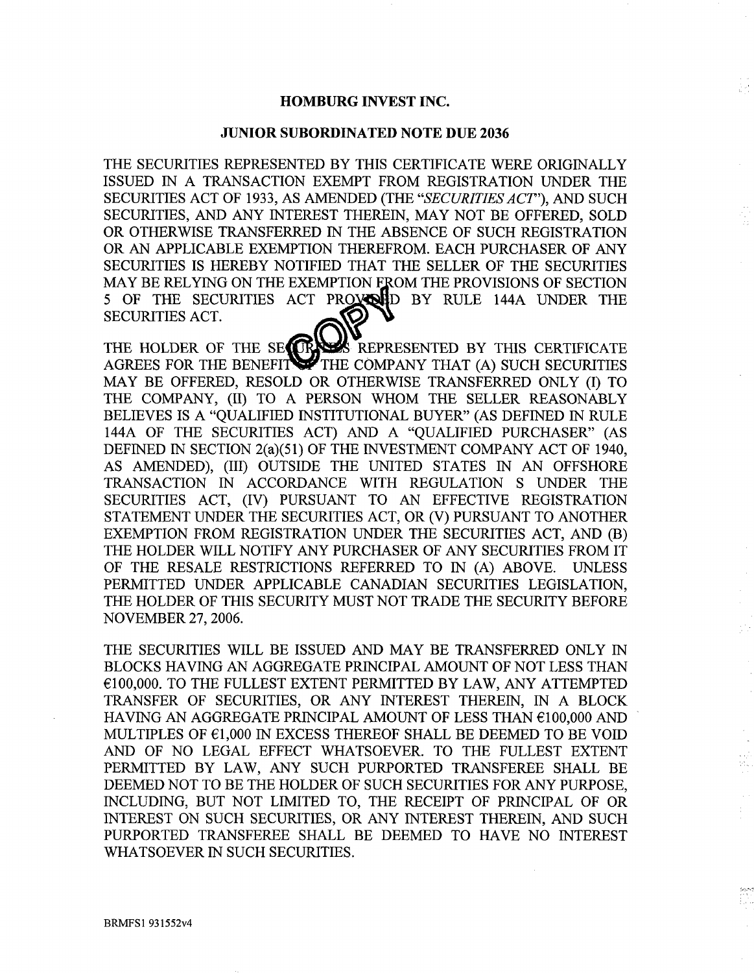### **HOMBURG INVEST INC.**

### **JUNIOR SUBORDINATED NOTE DUE 2036**

THE SECURITIES REPRESENTED BY THIS CERTIFICATE WERE ORIGINALLY ISSUED 1N a TRANSACTION EXEMPT FROM REGISTRATION UNDER THE SECURITIES ACT OF 1933, AS *AMENDED (THE "SECURITIES ACT"), AND* SUCH SECURITIES, AND ANY INTEREST THEREIN, MAY NOT BE OFFERED, SOLD OR OTHERWISE TRANSFERRED IN THE ABSENCE OF SUCH REGISTRATION OR AN APPLICABLE EXEMPTION THEREFROM. EACH PURCHASER OF ANY SECURITIES IS HEREBY NOTIFIED THAT THE SELLER OF THE SECURITIES MAY BE RELYING ON THE EXEMPTION FROM THE PROVISIONS OF SECTION 5 OF THE SECURITIES ACT PROXIMPD BY RULE 144A UNDER THE SECURITIES ACT.

THE HOLDER OF THE SEQUENCE REPRESENTED BY THIS CERTIFICATE AGREES FOR THE BENEFFI~'THE COMPANY THAT (A) SUCH SECURITIES MAY BE OFFERED, RESOLD OR OTHERWISE TRANSFERRED ONLY (I) TO THE COMPANY, (II) TO A PERSON WHOM THE SELLER REASONABLY BELIEVES IS A "QUALIFIED INSTITUTIONAL BUYER" (AS DEFINED IN RULE 144A OF THE SECURITIES ACT) AND A "QUALIFIED PURCHASER" (AS DEFINED IN SECTION 2(a)(51) OF THE INVESTMENT COMPANY ACT OF 1940, AS AMENDED), (III) OUTSIDE THE UNITED STATES IN AN OFFSHORE TRANSACTION IN ACCORDANCE WITH REGULATION S UNDER THE SECURITIES ACT, (IV) PURSUANT TO AN EFFECTIVE REGISTRATION STATEMENT UNDER THE SECURITIES ACT, OR (V) PURSUANT TO ANOTHER EXEMPTION FROM REGISTRATION UNDER THE SECURITIES ACT, AND (B) THE HOLDER WILL NOTIFY ANY PURCHASER OF ANY SECURITIES FROM IT OF THE RESALE RESTRICTIONS REFERRED TO IN (A) ABOVE. UNLESS PERMITTED UNDER APPLICABLE CANADIAN SECURITIES LEGISLATION, THE HOLDER OF THIS SECURITY MUST NOT TRADE THE SECURITY BEFORE NOVEMBER 27, 2006.

THE SECURITIES WILL BE ISSUED AND MAY BE TRANSFERRED ONLY IN BLOCKS HAVING AN AGGREGATE PRINCIPAL AMOUNT OF NOT LESS THAN  $E$ 100,000. TO THE FULLEST EXTENT PERMITTED BY LAW, ANY ATTEMPTED TRANSFER OF SECURITIES, OR ANY INTEREST THEREIN, IN A BLOCK HAVING AN AGGREGATE PRINCIPAL AMOUNT OF LESS THAN  $€100,000$  AND MULTIPLES OF  $61,000$  IN EXCESS THEREOF SHALL BE DEEMED TO BE VOID AND OF NO LEGAL EFFECT WHATSOEVER. TO THE FULLEST EXTENT PERMITTED BY LAW, ANY SUCH PURPORTED TRANSFEREE SHALL BE DEEMED NOT TO BE THE HOLDER OF SUCH SECURITIES FOR ANY PURPOSE, INCLUDING, BUT NOT LIMITED TO, THE RECEIPT OF PRINCIPAL OF OR INTEREST ON SUCH SECURITIES, OR ANY INTEREST THEREIN, AND SUCH PURPORTED TRANSFEREE SHALL BE DEEMED TO HAVE NO INTEREST WHATSOEVER IN SUCH SECURITIES.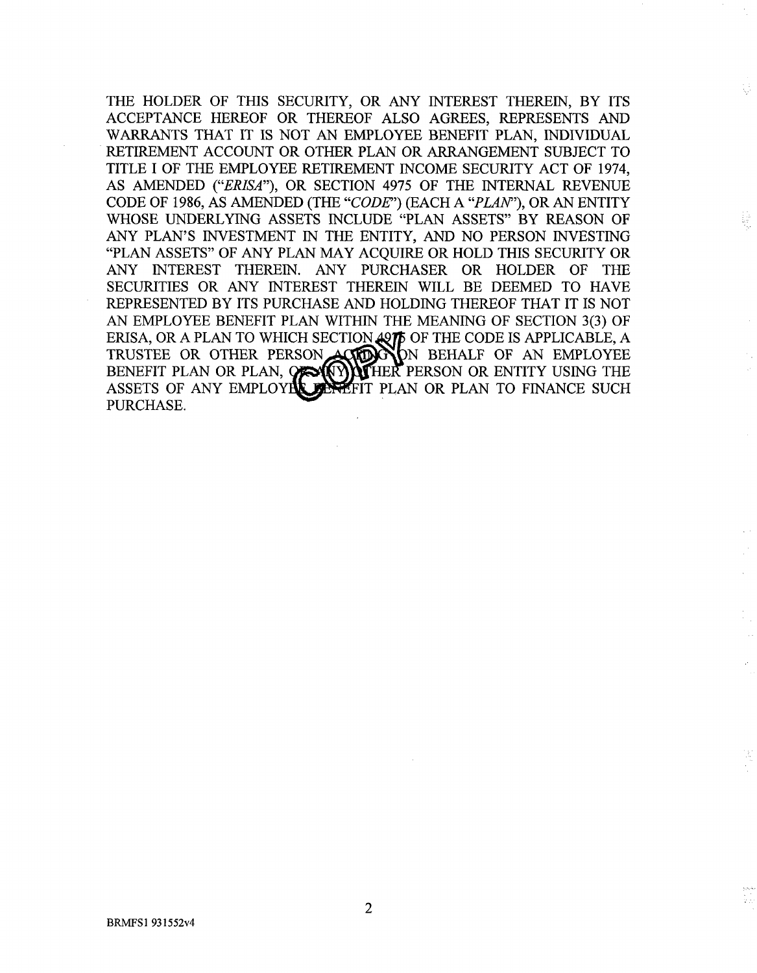THE HOLDER OF THIS SECURITY, OR ANY INTEREST THEREIN, BY ITS ACCEPTANCE HEREOF OR THEREOF ALSO AGREES, REPRESENTS AND WARRANTS THAT IT IS NOT AN EMPLOYEE BENEFIT PLAN, INDIVIDUAL RETIREMENT ACCOUNT OR OTHER PLAN OR ARRANGEMENT SUBJECT TO TITLE I OF THE EMPLOYEE RETIREMENT INCOME SECURITY ACT OF 1974, AS AMENDED *("ERISA"),* OR SECTION 4975 OF THE INTERNAL REVENUE CODE OF 1986, AS AMENDED (THE *"CODE")* (EACH *A "PLAN"),* OR AN ENTITY WHOSE UNDERLYING ASSETS INCLUDE "PLAN ASSETS" BY REASON OF ANY PLAN'S INVESTMENT IN THE ENTITY, AND NO PERSON INVESTING "PLAN ASSETS" OF ANY PLAN MAY ACQUIRE OR HOLD THIS SECURITY OR ANY INTEREST THEREIN. ANY PURCHASER OR HOLDER OF THE SECURITIES OR ANY INTEREST THEREIN WILL BE DEEMED TO HAVE REPRESENTED BY ITS PURCHASE AND HOLDING THEREOF THAT IT IS NOT AN EMPLOYEE BENEFIT PLAN WITHIN THE MEANING OF SECTION 3(3) OF ERISA, OR A PLAN TO WHICH SECTION  $_{\rm 497}$  OF THE CODE IS APPLICABLE, A TRUSTEE OR OTHER PERSON ACHORYON BEHALF OF AN EMPLOYEE BENEFIT PLAN OR PLAN,  $Q \approx (Y)$  HER PERSON OR ENTITY USING THE ASSETS OF ANY EMPLOYER SERIFIT PLAN OR PLAN TO FINANCE SUCH PURCHASE.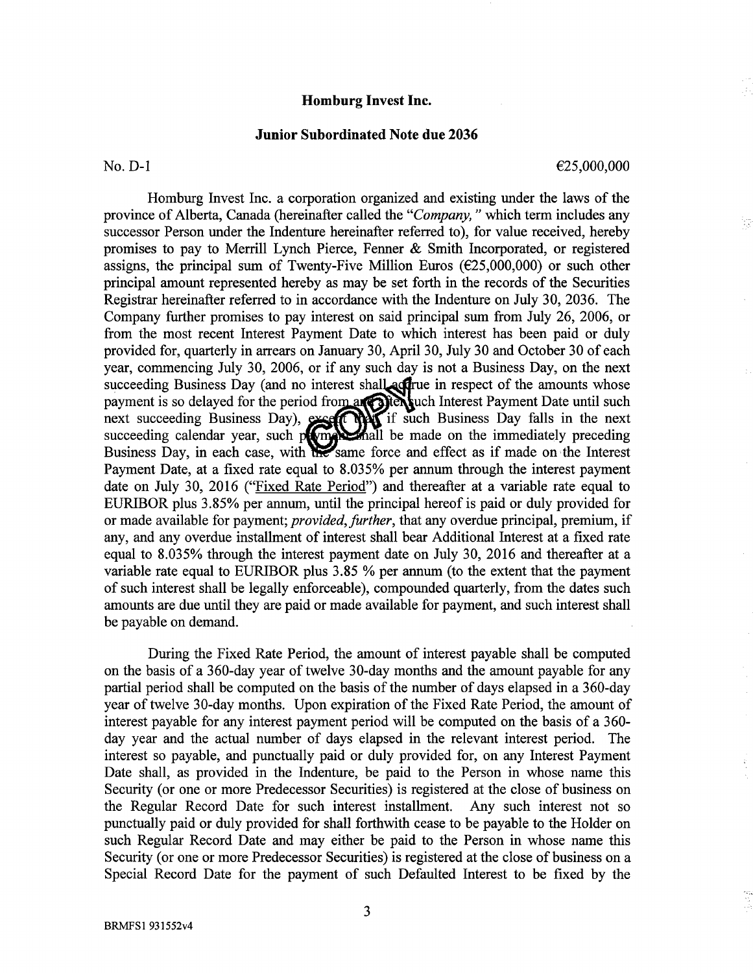## **Homburg Invest Inc.**

### **Junior Subordinated Note due 2036**

No.  $D-1$   $\epsilon_{25,000,000}$ 

YŞ

Homburg Invest Inc. a corporation organized and existing under the laws of the province of Alberta, Canada (hereinafter called the *"Company,"* which term includes any successor Person under the Indenture hereinafter referred to), for value received, hereby promises to pay to Merrill Lynch Pierce, Fenner & Smith Incorporated, or registered assigns, the principal sum of Twenty-Five Million Euros ( $\epsilon$ 25,000,000) or such other principal amount represented hereby as may be set forth in the records of the Securities Registrar hereinafter referred to in accordance with the Indenture on July 30, 2036. The Company further promises to pay interest on said principal sum from July 26, 2006, or from the most recent Interest Payment Date to which interest has been paid or duly provided for, quarterly in arrears on January 30, April 30, July 30 and October 30 of each year, commencing July 30, 2006, or if any such day is not a Business Day, on the next succeeding Business Day (and no interest shall addred in respect of the amounts whose payment is so delayed for the period from an offen such Interest Payment Date until such next succeeding Business Day), excellent if such Business Day falls in the next succeeding calendar year, such prompt mail be made on the immediately preceding Business Day, in each case, with the same force and effect as if made on the Interest Payment Date, at a fixed rate equal to 8.035% per annum through the interest payment date on July 30, 2016 ("Fixed Rate Period") and thereafter at a variable rate equal to EURIBOR plus 3.85% per annum, until the principal hereof is paid or duly provided for or made available for payment; *provided, further,* that any overdue principal, premium, if any, and any overdue installment of interest shall bear Additional Interest at a fixed rate equal to 8.035% through the interest payment date on July 30, 2016 and thereafter at a variable rate equal to EURIBOR plus 3.85 % per annum (to the extent that the payment of such interest shall be legally enforceable), compounded quarterly, from the dates such amounts are due until they are paid or made available for payment, and such interest shall be payable on demand.

During the Fixed Rate Period, the amount of interest payable shall be computed on the basis of a 360-day year of twelve 30-day months and the amount payable for any partial period shall be computed on the basis of the number of days elapsed in a 360-day year of twelve 30-day months. Upon expiration of the Fixed Rate Period, the amount of interest payable for any interest payment period will be computed on the basis of a 360 day year and the actual number of days elapsed in the relevant interest period. The interest so payable, and punctually paid or duly provided for, on any Interest Payment Date shall, as provided in the Indenture, be paid to the Person in whose name this Security (or one or more Predecessor Securities) is registered at the close of business on the Regular Record Date for such interest installment. Any such interest not so punctually paid or duly provided for shall forthwith cease to be payable to the Holder on such Regular Record Date and may either be paid to the Person in whose name this Security (or one or more Predecessor Securities) is registered at the close of business on a Special Record Date for the payment of such Defaulted Interest to be fixed by the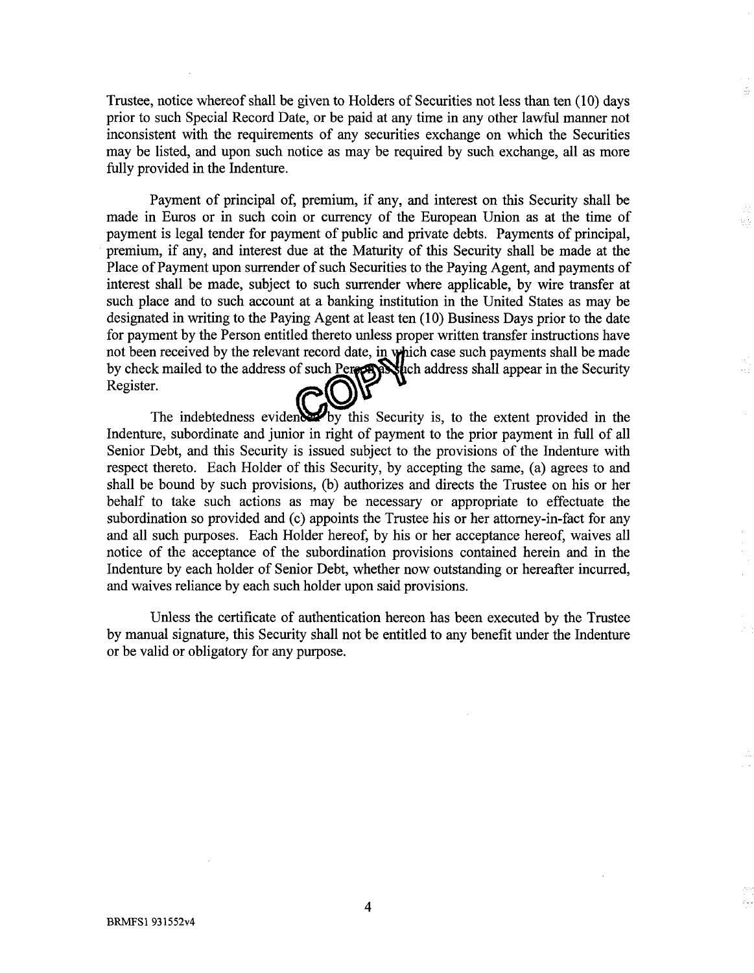Trustee, notice whereof shall be given to Holders of Securities not less than ten (10) days prior to such Special Record Date, or be paid at any time in any other lawful manner not inconsistent with the requirements of any securities exchange on which the Securities may be listed, and upon such notice as may be required by such exchange, all as more fully provided in the Indenture.

кò.

Payment of principal of, premium, if any, and interest on this Security shall be made in Euros or in such coin or currency of the European Union as at the time of payment is legal tender for payment of public and private debts. Payments of principal, premium, if any, and interest due at the Maturity of this Security shall be made at the Place of Payment upon surrender of such Securities to the Paying Agent, and payments of interest shall be made, subject to such surrender where applicable, by wire transfer at such place and to such account at a banking institution in the United States as may be designated in writing to the Paying Agent at least ten (10) Business Days prior to the date for payment by the Person entitled thereto unless proper written transfer instructions have not been received by the relevant record date, in which case such payments shall be made by check mailed to the address of such Pereza explich address shall appear in the Security Register.

The indebtedness evidents by this Security is, to the extent provided in the Indenture, subordinate and junior in right of payment to the prior payment in full of all Senior Debt, and this Security is issued subject to the provisions of the Indenture with respect thereto. Each Holder of this Security, by accepting the same, (a) agrees to and shall be bound by such provisions, (b) authorizes and directs the Trustee on his or her behalf to take such actions as may be necessary or appropriate to effectuate the subordination so provided and (c) appoints the Trustee his or her attorney-in-fact for any and all such purposes. Each Holder hereof, by his or her acceptance hereof, waives all notice of the acceptance of the subordination provisions contained herein and in the Indenture by each holder of Senior Debt, whether now outstanding or hereafter incurred, and waives reliance by each such holder upon said provisions.

Unless the certificate of authentication hereon has been executed by the Trustee by manual signature, this Security shall not be entitled to any benefit under the Indenture or be valid or obligatory for any purpose.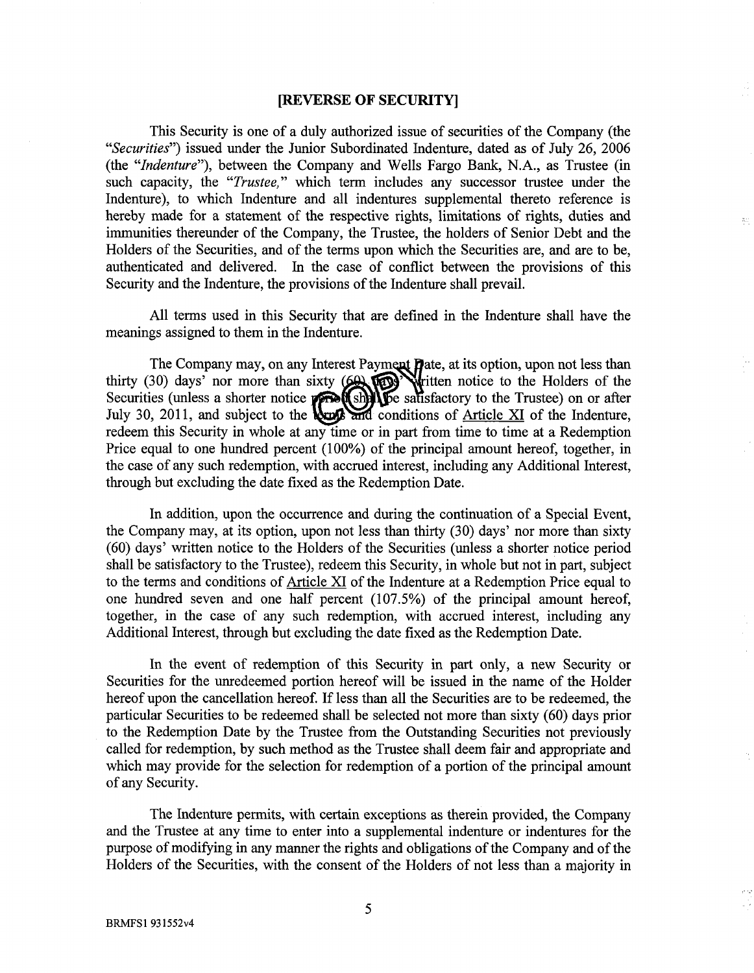#### **[REVERSE OF SECURITY]**

This Security is one of a duly authorized issue of securities of the Company (the *"Securities")* issued under the Junior Subordinated Indenture, dated as of July 26, 2006 (the *"Indenture"),* between the Company and Wells Fargo Bank, N.A., as Trustee (in such capacity, the *"Trustee,"* which term includes any successor trustee under the Indenture), to which Indenture and all indentures supplemental thereto reference is hereby made for a statement of the respective rights, limitations of rights, duties and immunities thereunder of the Company, the Trustee, the holders of Senior Debt and the Holders of the Securities, and of the terms upon which the Securities are, and are to be, authenticated and delivered. In the case of conflict between the provisions of this Security and the Indenture, the provisions of the Indenture shall prevail.

 $\mathbb{Z}^+$ 

All terms used in this Security that are defined in the Indenture shall have the meanings assigned to them in the Indenture.

The Company may, on any Interest Payment **Pate**, at its option, upon not less tha thirty (30) days' nor more than sixty  $(60, 100)$  whitten notice to the Holders of the Securities (unless a shorter notice **period shifts** salisfactory to the Trustee) on or after July 30, 2011, and subject to the **local and** conditions of Article XI of the Indenture, redeem this Security in whole at any time or in part from time to time at a Redemption Price equal to one hundred percent (100%) of the principal amount hereof, together, in the case of any such redemption, with accrued interest, including any Additional Interest, through but excluding the date fixed as the Redemption Date.

In addition, upon the occurrence and during the continuation of a Special Event, the Company may, at its option, upon not less than thirty (30) days' nor more than sixty (60) days' written notice to the Holders of the Securities (unless a shorter notice period shall be satisfactory to the Trustee), redeem this Security, in whole but not in part, subject to the terms and conditions of Article XI of the Indenture at a Redemption Price equal to one hundred seven and one half percent (107.5%) of the principal amount hereof, together, in the case of any such redemption, with accrued interest, including any Additional Interest, through but excluding the date fixed as the Redemption Date.

In the event of redemption of this Security in part only, a new Security or Securities for the unredeemed portion hereof will be issued in the name of the Holder hereof upon the cancellation hereof. If less than all the Securities are to be redeemed, the particular Securities to be redeemed shall be selected not more than sixty (60) days prior to the Redemption Date by the Trustee from the Outstanding Securities not previously called for redemption, by such method as the Trustee shall deem fair and appropriate and which may provide for the selection for redemption of a portion of the principal amount of any Security.

The Indenture permits, with certain exceptions as therein provided, the Company and the Trustee at any time to enter into a supplemental indenture or indentures for the purpose of modifying in any manner the rights and obligations of the Company and of the Holders of the Securities, with the consent of the Holders of not less than a majority in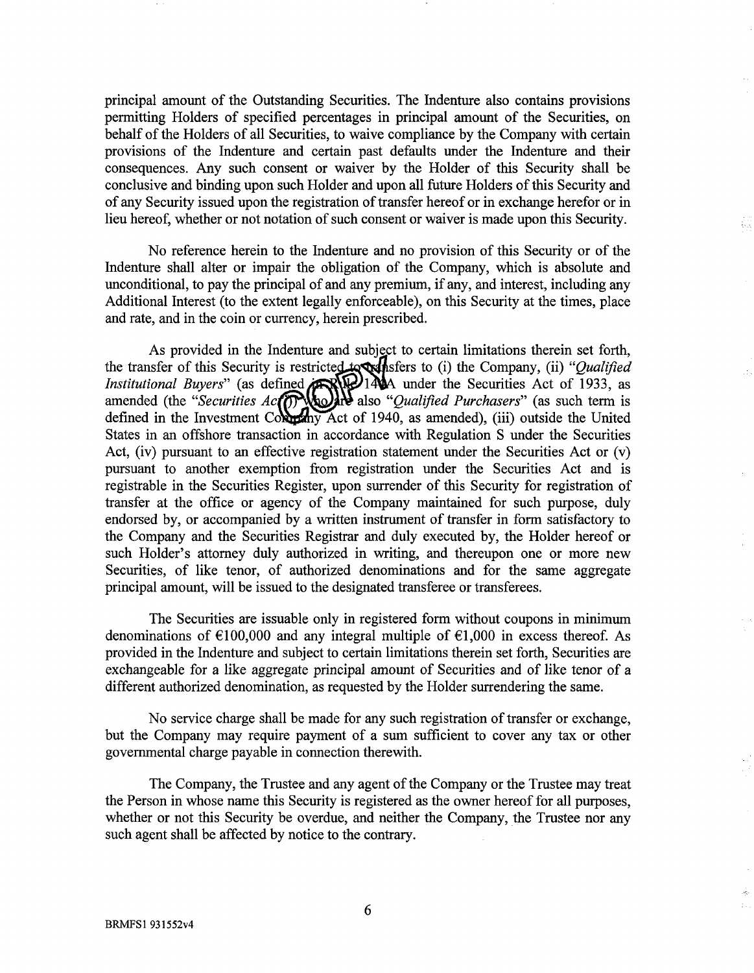principal amount of the Outstanding Securities. The Indenture also contains provisions permitting Holders of specified percentages in principal amount of the Securities, on behalf of the Holders of all Securities, to waive compliance by the Company with certain provisions of the Indenture and certain past defaults under the Indenture and their consequences. Any such consent or waiver by the Holder of this Security shall be conclusive and binding upon such Holder and upon all future Holders of this Security and of any Security issued upon the registration of transfer hereof or in exchange herefor or in lieu hereof, whether or not notation of such consent or waiver is made upon this Security.

No reference herein to the Indenture and no provision of this Security or of the Indenture shall alter or impair the obligation of the Company, which is absolute and unconditional, to pay the principal of and any premium, if any, and interest, including any Additional Interest (to the extent legally enforceable), on this Security at the times, place and rate, and in the coin or currency, herein prescribed.

As provided in the Indenture and subject to certain limitations therein set forth, the transfer of this Security is restricted to **stead for the Company**, (ii) *"Qualified Institutional Buyers*" (as defined **ARIM** 1444 under the Securities Act of 1933, as amended (the "Securities Ac<sub>(</sub><sup>0</sup>) And also "Qualified Purchasers" (as such term is defined in the Investment Columbus Act of 1940, as amended), (iii) outside the United States in an offshore transaction in accordance with Regulation S under the Securities Act, (iv) pursuant to an effective registration statement under the Securities Act or  $(v)$ pursuant to another exemption from registration under the Securities Act and is registrable in the Securities Register, upon surrender of this Security for registration of transfer at the office or agency of the Company maintained for such purpose, duly endorsed by, or accompanied by a written instrument of transfer in form satisfactory to the Company and the Securities Registrar and duly executed by, the Holder hereof or such Holder's attorney duly authorized in writing, and thereupon one or more new Securities, of like tenor, of authorized denominations and for the same aggregate principal amount, will be issued to the designated transferee or transferees.

The Securities are issuable only in registered form without coupons in minimum denominations of  $\epsilon$ 100,000 and any integral multiple of  $\epsilon$ 1,000 in excess thereof. As provided in the Indenture and subject to certain limitations therein set forth, Securities are exchangeable for a like aggregate principal amount of Securities and of like tenor of a different authorized denomination, as requested by the Holder surrendering the same.

No service charge shall be made for any such registration of transfer or exchange, but the Company may require payment of a sum sufficient to cover any tax or other governmental charge payable in connection therewith.

The Company, the Trustee and any agent of the Company or the Trustee may treat the Person in whose name this Security is registered as the owner hereof for all purposes, whether or not this Security be overdue, and neither the Company, the Trustee nor any such agent shall be affected by notice to the contrary.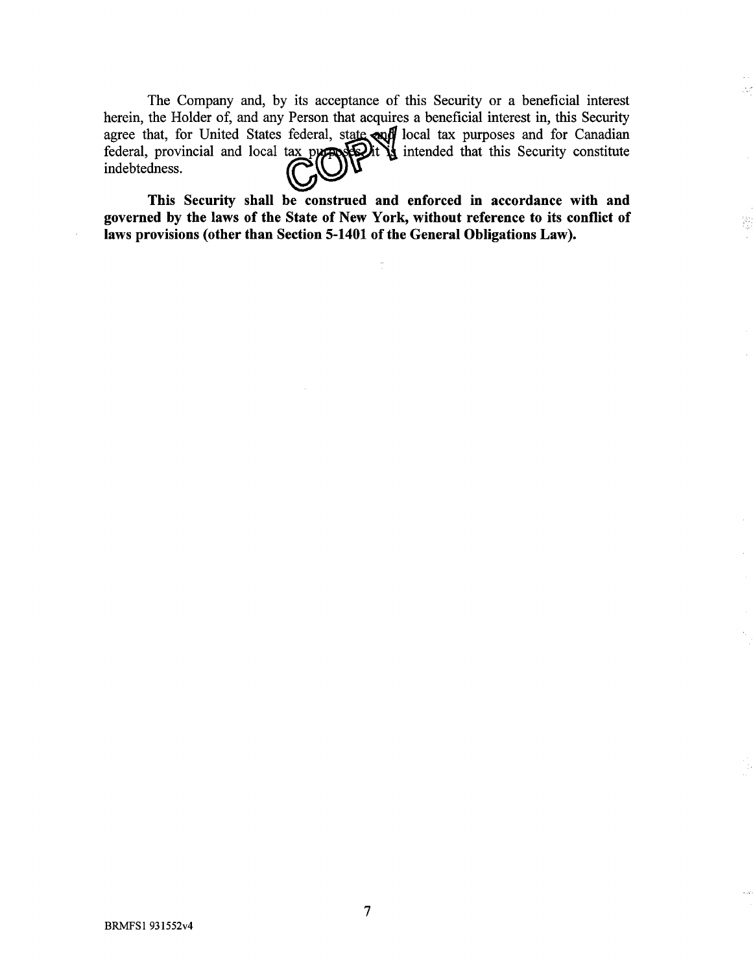The Company and, by its acceptance of this Security or a beneficial interest herein, the Holder of, and any Person that acquires a beneficial interest in, this Security agree that, for United States federal, state and local tax purposes and for Canadian federal, provincial and local tax property  $\mathbf{Q}$  intended that this Security constitute indebtedness.

This Security shall be construed and enforced in accordance with and governed by the laws of the State of New York, without reference to its conflict of laws provisions (other than Section 5-1401 of the General Obligations Law).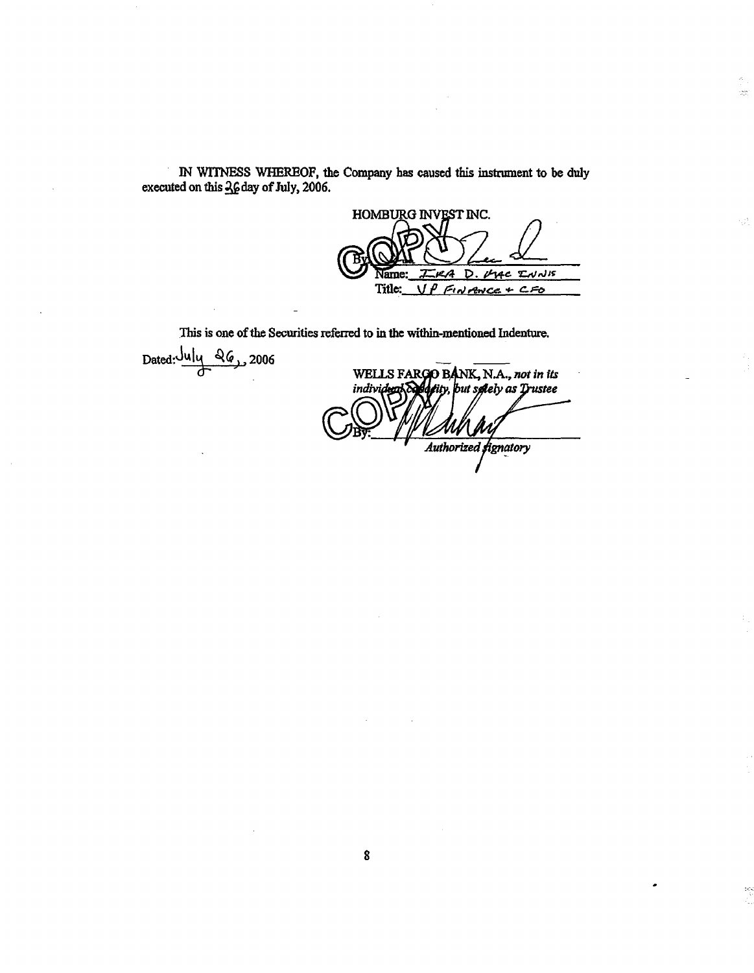IN WITNESS WHEREOF, the Company has caused this instrument to be duly executed on this 36 day of July, 2006.

HOMBURG INVEST INC. D  $T_{\text{c}}$  $N_{\text{d}}$ A oye Name: Title: UP FINANCE + CFO

Č,  $\frac{1}{\sqrt{2}}\frac{\partial^2 \phi}{\partial x^2}$ 

γń,

ia)<br>V

This is one of the Securities referred to in the within-mentioned Indenture.

Dated: July 26, 2006

WELLS FARGO BANK, N.A., not in its tity, but spiely as Trustee individen *¯ .4uthorized~'gn~ory*